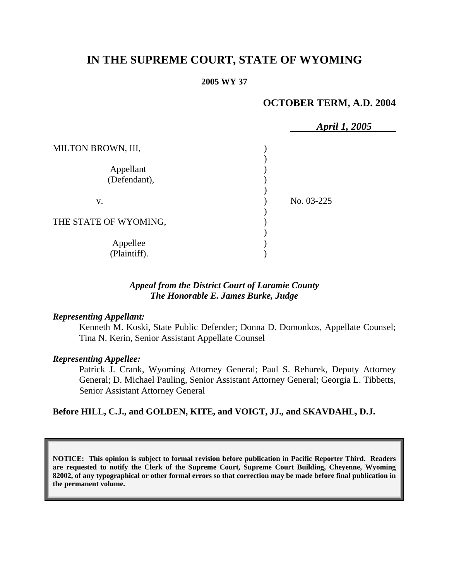# **IN THE SUPREME COURT, STATE OF WYOMING**

#### **2005 WY 37**

# **OCTOBER TERM, A.D. 2004**

|                           | April 1, 2005 |  |
|---------------------------|---------------|--|
| MILTON BROWN, III,        |               |  |
| Appellant<br>(Defendant), |               |  |
| V.                        | No. 03-225    |  |
| THE STATE OF WYOMING,     |               |  |
| Appellee<br>(Plaintiff).  |               |  |

### *Appeal from the District Court of Laramie County The Honorable E. James Burke, Judge*

#### *Representing Appellant:*

Kenneth M. Koski, State Public Defender; Donna D. Domonkos, Appellate Counsel; Tina N. Kerin, Senior Assistant Appellate Counsel

#### *Representing Appellee:*

Patrick J. Crank, Wyoming Attorney General; Paul S. Rehurek, Deputy Attorney General; D. Michael Pauling, Senior Assistant Attorney General; Georgia L. Tibbetts, Senior Assistant Attorney General

### **Before HILL, C.J., and GOLDEN, KITE, and VOIGT, JJ., and SKAVDAHL, D.J.**

**NOTICE: This opinion is subject to formal revision before publication in Pacific Reporter Third. Readers are requested to notify the Clerk of the Supreme Court, Supreme Court Building, Cheyenne, Wyoming 82002, of any typographical or other formal errors so that correction may be made before final publication in the permanent volume.**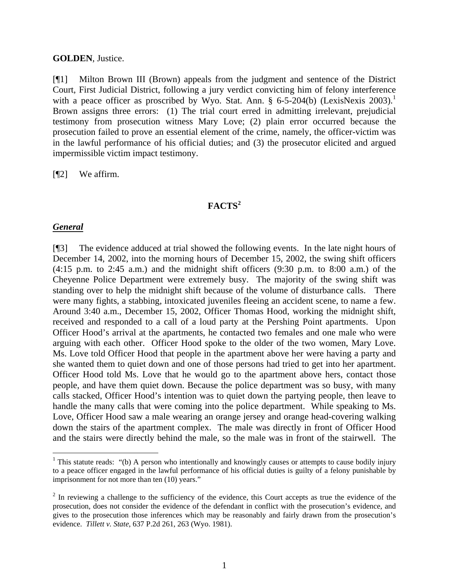#### **GOLDEN**, Justice.

[¶1] Milton Brown III (Brown) appeals from the judgment and sentence of the District Court, First Judicial District, following a jury verdict convicting him of felony interference with a peace officer as proscribed by Wyo. Stat. Ann. § 6-5-204(b) (LexisNexis 2003).<sup>1</sup> Brown assigns three errors: (1) The trial court erred in admitting irrelevant, prejudicial testimony from prosecution witness Mary Love; (2) plain error occurred because the prosecution failed to prove an essential element of the crime, namely, the officer-victim was in the lawful performance of his official duties; and (3) the prosecutor elicited and argued impermissible victim impact testimony.

[¶2] We affirm.

# **FACTS<sup>2</sup>**

#### *General*

 $\overline{a}$ 

[¶3] The evidence adduced at trial showed the following events. In the late night hours of December 14, 2002, into the morning hours of December 15, 2002, the swing shift officers  $(4:15 \text{ p.m. to } 2:45 \text{ a.m.})$  and the midnight shift officers  $(9:30 \text{ p.m. to } 8:00 \text{ a.m.})$  of the Cheyenne Police Department were extremely busy. The majority of the swing shift was standing over to help the midnight shift because of the volume of disturbance calls. There were many fights, a stabbing, intoxicated juveniles fleeing an accident scene, to name a few. Around 3:40 a.m., December 15, 2002, Officer Thomas Hood, working the midnight shift, received and responded to a call of a loud party at the Pershing Point apartments. Upon Officer Hood's arrival at the apartments, he contacted two females and one male who were arguing with each other. Officer Hood spoke to the older of the two women, Mary Love. Ms. Love told Officer Hood that people in the apartment above her were having a party and she wanted them to quiet down and one of those persons had tried to get into her apartment. Officer Hood told Ms. Love that he would go to the apartment above hers, contact those people, and have them quiet down. Because the police department was so busy, with many calls stacked, Officer Hood's intention was to quiet down the partying people, then leave to handle the many calls that were coming into the police department. While speaking to Ms. Love, Officer Hood saw a male wearing an orange jersey and orange head-covering walking down the stairs of the apartment complex. The male was directly in front of Officer Hood and the stairs were directly behind the male, so the male was in front of the stairwell. The

<sup>&</sup>lt;sup>1</sup> This statute reads: "(b) A person who intentionally and knowingly causes or attempts to cause bodily injury to a peace officer engaged in the lawful performance of his official duties is guilty of a felony punishable by imprisonment for not more than ten (10) years."

 $2<sup>2</sup>$  In reviewing a challenge to the sufficiency of the evidence, this Court accepts as true the evidence of the prosecution, does not consider the evidence of the defendant in conflict with the prosecution's evidence, and gives to the prosecution those inferences which may be reasonably and fairly drawn from the prosecution's evidence. *Tillett v. State*, 637 P.2d 261, 263 (Wyo. 1981).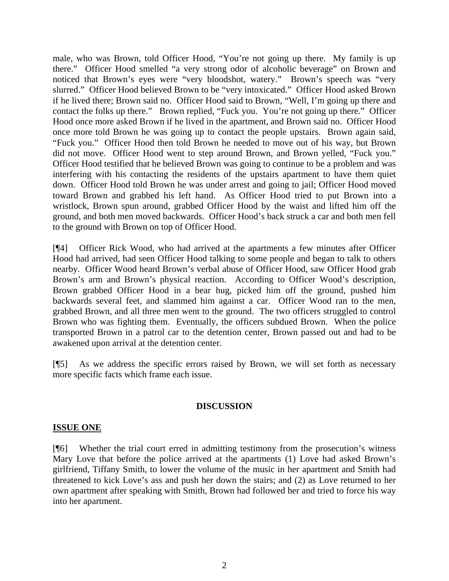male, who was Brown, told Officer Hood, "You're not going up there. My family is up there." Officer Hood smelled "a very strong odor of alcoholic beverage" on Brown and noticed that Brown's eyes were "very bloodshot, watery." Brown's speech was "very slurred." Officer Hood believed Brown to be "very intoxicated." Officer Hood asked Brown if he lived there; Brown said no. Officer Hood said to Brown, "Well, I'm going up there and contact the folks up there." Brown replied, "Fuck you. You're not going up there." Officer Hood once more asked Brown if he lived in the apartment, and Brown said no. Officer Hood once more told Brown he was going up to contact the people upstairs. Brown again said, "Fuck you." Officer Hood then told Brown he needed to move out of his way, but Brown did not move. Officer Hood went to step around Brown, and Brown yelled, "Fuck you." Officer Hood testified that he believed Brown was going to continue to be a problem and was interfering with his contacting the residents of the upstairs apartment to have them quiet down. Officer Hood told Brown he was under arrest and going to jail; Officer Hood moved toward Brown and grabbed his left hand. As Officer Hood tried to put Brown into a wristlock, Brown spun around, grabbed Officer Hood by the waist and lifted him off the ground, and both men moved backwards. Officer Hood's back struck a car and both men fell to the ground with Brown on top of Officer Hood.

[¶4] Officer Rick Wood, who had arrived at the apartments a few minutes after Officer Hood had arrived, had seen Officer Hood talking to some people and began to talk to others nearby. Officer Wood heard Brown's verbal abuse of Officer Hood, saw Officer Hood grab Brown's arm and Brown's physical reaction. According to Officer Wood's description, Brown grabbed Officer Hood in a bear hug, picked him off the ground, pushed him backwards several feet, and slammed him against a car. Officer Wood ran to the men, grabbed Brown, and all three men went to the ground. The two officers struggled to control Brown who was fighting them. Eventually, the officers subdued Brown. When the police transported Brown in a patrol car to the detention center, Brown passed out and had to be awakened upon arrival at the detention center.

[¶5] As we address the specific errors raised by Brown, we will set forth as necessary more specific facts which frame each issue.

# **DISCUSSION**

# **ISSUE ONE**

[¶6] Whether the trial court erred in admitting testimony from the prosecution's witness Mary Love that before the police arrived at the apartments (1) Love had asked Brown's girlfriend, Tiffany Smith, to lower the volume of the music in her apartment and Smith had threatened to kick Love's ass and push her down the stairs; and (2) as Love returned to her own apartment after speaking with Smith, Brown had followed her and tried to force his way into her apartment.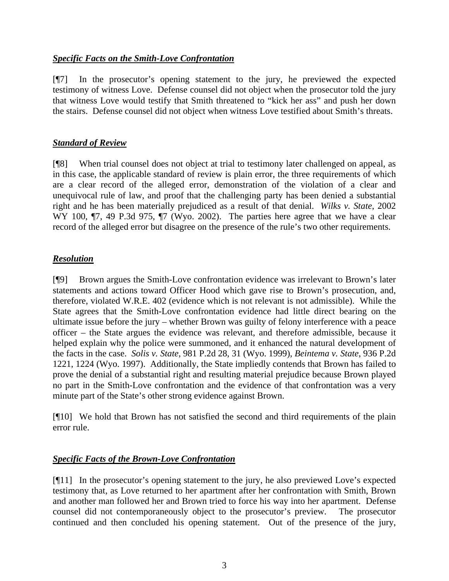# *Specific Facts on the Smith-Love Confrontation*

[¶7] In the prosecutor's opening statement to the jury, he previewed the expected testimony of witness Love. Defense counsel did not object when the prosecutor told the jury that witness Love would testify that Smith threatened to "kick her ass" and push her down the stairs. Defense counsel did not object when witness Love testified about Smith's threats.

# *Standard of Review*

[¶8] When trial counsel does not object at trial to testimony later challenged on appeal, as in this case, the applicable standard of review is plain error, the three requirements of which are a clear record of the alleged error, demonstration of the violation of a clear and unequivocal rule of law, and proof that the challenging party has been denied a substantial right and he has been materially prejudiced as a result of that denial. *Wilks v. State*, 2002 WY 100,  $\P$ 7, 49 P.3d 975,  $\P$ 7 (Wyo. 2002). The parties here agree that we have a clear record of the alleged error but disagree on the presence of the rule's two other requirements.

# *Resolution*

[¶9] Brown argues the Smith-Love confrontation evidence was irrelevant to Brown's later statements and actions toward Officer Hood which gave rise to Brown's prosecution, and, therefore, violated W.R.E. 402 (evidence which is not relevant is not admissible). While the State agrees that the Smith-Love confrontation evidence had little direct bearing on the ultimate issue before the jury – whether Brown was guilty of felony interference with a peace officer – the State argues the evidence was relevant, and therefore admissible, because it helped explain why the police were summoned, and it enhanced the natural development of the facts in the case. *Solis v. State*, 981 P.2d 28, 31 (Wyo. 1999), *Beintema v. State*, 936 P.2d 1221, 1224 (Wyo. 1997). Additionally, the State impliedly contends that Brown has failed to prove the denial of a substantial right and resulting material prejudice because Brown played no part in the Smith-Love confrontation and the evidence of that confrontation was a very minute part of the State's other strong evidence against Brown.

[¶10] We hold that Brown has not satisfied the second and third requirements of the plain error rule.

# *Specific Facts of the Brown-Love Confrontation*

[¶11] In the prosecutor's opening statement to the jury, he also previewed Love's expected testimony that, as Love returned to her apartment after her confrontation with Smith, Brown and another man followed her and Brown tried to force his way into her apartment. Defense counsel did not contemporaneously object to the prosecutor's preview. The prosecutor continued and then concluded his opening statement. Out of the presence of the jury,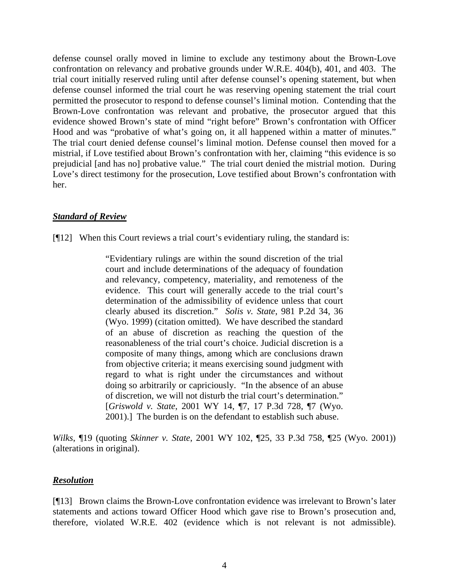defense counsel orally moved in limine to exclude any testimony about the Brown-Love confrontation on relevancy and probative grounds under W.R.E. 404(b), 401, and 403. The trial court initially reserved ruling until after defense counsel's opening statement, but when defense counsel informed the trial court he was reserving opening statement the trial court permitted the prosecutor to respond to defense counsel's liminal motion. Contending that the Brown-Love confrontation was relevant and probative, the prosecutor argued that this evidence showed Brown's state of mind "right before" Brown's confrontation with Officer Hood and was "probative of what's going on, it all happened within a matter of minutes." The trial court denied defense counsel's liminal motion. Defense counsel then moved for a mistrial, if Love testified about Brown's confrontation with her, claiming "this evidence is so prejudicial [and has no] probative value." The trial court denied the mistrial motion. During Love's direct testimony for the prosecution, Love testified about Brown's confrontation with her.

# *Standard of Review*

[¶12] When this Court reviews a trial court's evidentiary ruling, the standard is:

"Evidentiary rulings are within the sound discretion of the trial court and include determinations of the adequacy of foundation and relevancy, competency, materiality, and remoteness of the evidence. This court will generally accede to the trial court's determination of the admissibility of evidence unless that court clearly abused its discretion." *Solis v. State*, 981 P.2d 34, 36 (Wyo. 1999) (citation omitted). We have described the standard of an abuse of discretion as reaching the question of the reasonableness of the trial court's choice. Judicial discretion is a composite of many things, among which are conclusions drawn from objective criteria; it means exercising sound judgment with regard to what is right under the circumstances and without doing so arbitrarily or capriciously. "In the absence of an abuse of discretion, we will not disturb the trial court's determination." [*Griswold v. State*, 2001 WY 14, ¶7, 17 P.3d 728, ¶7 (Wyo. 2001).] The burden is on the defendant to establish such abuse.

*Wilks*, ¶19 (quoting *Skinner v. State*, 2001 WY 102, ¶25, 33 P.3d 758, ¶25 (Wyo. 2001)) (alterations in original).

# *Resolution*

[¶13] Brown claims the Brown-Love confrontation evidence was irrelevant to Brown's later statements and actions toward Officer Hood which gave rise to Brown's prosecution and, therefore, violated W.R.E. 402 (evidence which is not relevant is not admissible).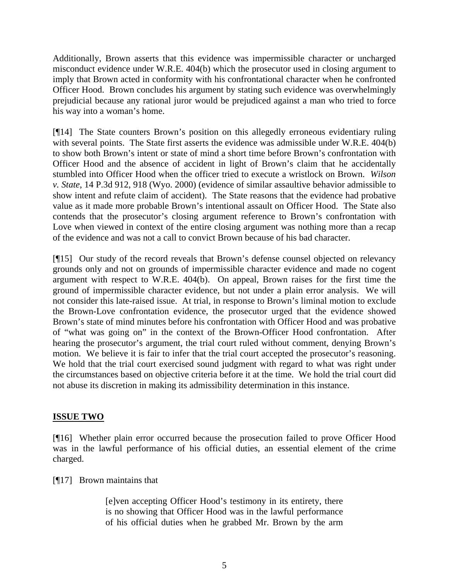Additionally, Brown asserts that this evidence was impermissible character or uncharged misconduct evidence under W.R.E. 404(b) which the prosecutor used in closing argument to imply that Brown acted in conformity with his confrontational character when he confronted Officer Hood. Brown concludes his argument by stating such evidence was overwhelmingly prejudicial because any rational juror would be prejudiced against a man who tried to force his way into a woman's home.

[¶14] The State counters Brown's position on this allegedly erroneous evidentiary ruling with several points. The State first asserts the evidence was admissible under W.R.E. 404(b) to show both Brown's intent or state of mind a short time before Brown's confrontation with Officer Hood and the absence of accident in light of Brown's claim that he accidentally stumbled into Officer Hood when the officer tried to execute a wristlock on Brown. *Wilson v. State*, 14 P.3d 912, 918 (Wyo. 2000) (evidence of similar assaultive behavior admissible to show intent and refute claim of accident). The State reasons that the evidence had probative value as it made more probable Brown's intentional assault on Officer Hood. The State also contends that the prosecutor's closing argument reference to Brown's confrontation with Love when viewed in context of the entire closing argument was nothing more than a recap of the evidence and was not a call to convict Brown because of his bad character.

[¶15] Our study of the record reveals that Brown's defense counsel objected on relevancy grounds only and not on grounds of impermissible character evidence and made no cogent argument with respect to W.R.E. 404(b). On appeal, Brown raises for the first time the ground of impermissible character evidence, but not under a plain error analysis. We will not consider this late-raised issue. At trial, in response to Brown's liminal motion to exclude the Brown-Love confrontation evidence, the prosecutor urged that the evidence showed Brown's state of mind minutes before his confrontation with Officer Hood and was probative of "what was going on" in the context of the Brown-Officer Hood confrontation. After hearing the prosecutor's argument, the trial court ruled without comment, denying Brown's motion. We believe it is fair to infer that the trial court accepted the prosecutor's reasoning. We hold that the trial court exercised sound judgment with regard to what was right under the circumstances based on objective criteria before it at the time. We hold the trial court did not abuse its discretion in making its admissibility determination in this instance.

# **ISSUE TWO**

[¶16] Whether plain error occurred because the prosecution failed to prove Officer Hood was in the lawful performance of his official duties, an essential element of the crime charged.

# [¶17] Brown maintains that

[e]ven accepting Officer Hood's testimony in its entirety, there is no showing that Officer Hood was in the lawful performance of his official duties when he grabbed Mr. Brown by the arm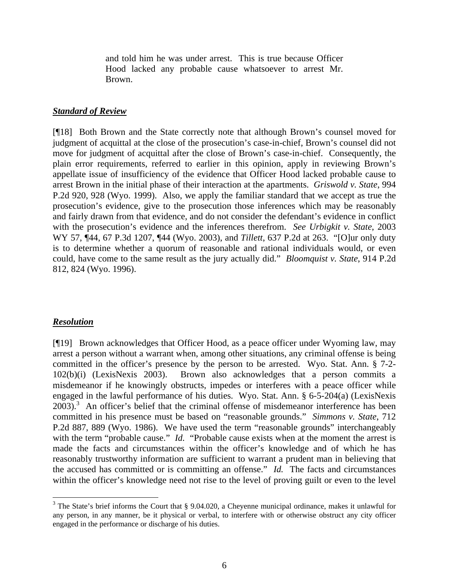and told him he was under arrest. This is true because Officer Hood lacked any probable cause whatsoever to arrest Mr. Brown.

#### *Standard of Review*

[¶18] Both Brown and the State correctly note that although Brown's counsel moved for judgment of acquittal at the close of the prosecution's case-in-chief, Brown's counsel did not move for judgment of acquittal after the close of Brown's case-in-chief. Consequently, the plain error requirements, referred to earlier in this opinion, apply in reviewing Brown's appellate issue of insufficiency of the evidence that Officer Hood lacked probable cause to arrest Brown in the initial phase of their interaction at the apartments. *Griswold v. State*, 994 P.2d 920, 928 (Wyo. 1999). Also, we apply the familiar standard that we accept as true the prosecution's evidence, give to the prosecution those inferences which may be reasonably and fairly drawn from that evidence, and do not consider the defendant's evidence in conflict with the prosecution's evidence and the inferences therefrom. *See Urbigkit v. State*, 2003 WY 57, ¶44, 67 P.3d 1207, ¶44 (Wyo. 2003), and *Tillett*, 637 P.2d at 263. "[O]ur only duty is to determine whether a quorum of reasonable and rational individuals would, or even could, have come to the same result as the jury actually did." *Bloomquist v. State*, 914 P.2d 812, 824 (Wyo. 1996).

#### *Resolution*

[¶19] Brown acknowledges that Officer Hood, as a peace officer under Wyoming law, may arrest a person without a warrant when, among other situations, any criminal offense is being committed in the officer's presence by the person to be arrested. Wyo. Stat. Ann. § 7-2- 102(b)(i) (LexisNexis 2003). Brown also acknowledges that a person commits a misdemeanor if he knowingly obstructs, impedes or interferes with a peace officer while engaged in the lawful performance of his duties. Wyo. Stat. Ann. § 6-5-204(a) (LexisNexis  $2003$ ).<sup>3</sup> An officer's belief that the criminal offense of misdemeanor interference has been committed in his presence must be based on "reasonable grounds." *Simmons v. State*, 712 P.2d 887, 889 (Wyo. 1986). We have used the term "reasonable grounds" interchangeably with the term "probable cause." *Id.* "Probable cause exists when at the moment the arrest is made the facts and circumstances within the officer's knowledge and of which he has reasonably trustworthy information are sufficient to warrant a prudent man in believing that the accused has committed or is committing an offense." *Id.* The facts and circumstances within the officer's knowledge need not rise to the level of proving guilt or even to the level

 $3$  The State's brief informs the Court that § 9.04.020, a Cheyenne municipal ordinance, makes it unlawful for any person, in any manner, be it physical or verbal, to interfere with or otherwise obstruct any city officer engaged in the performance or discharge of his duties.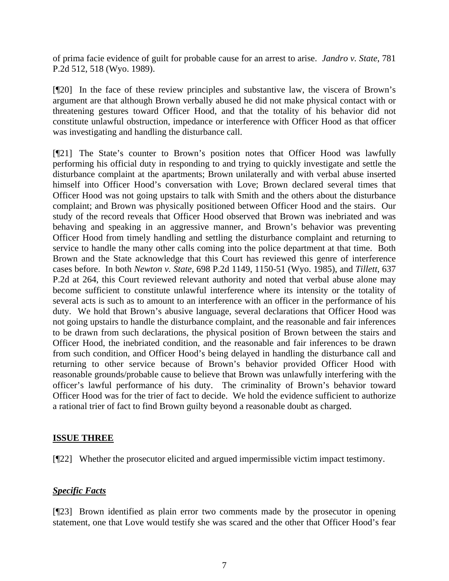of prima facie evidence of guilt for probable cause for an arrest to arise. *Jandro v. State*, 781 P.2d 512, 518 (Wyo. 1989).

[¶20] In the face of these review principles and substantive law, the viscera of Brown's argument are that although Brown verbally abused he did not make physical contact with or threatening gestures toward Officer Hood, and that the totality of his behavior did not constitute unlawful obstruction, impedance or interference with Officer Hood as that officer was investigating and handling the disturbance call.

[¶21] The State's counter to Brown's position notes that Officer Hood was lawfully performing his official duty in responding to and trying to quickly investigate and settle the disturbance complaint at the apartments; Brown unilaterally and with verbal abuse inserted himself into Officer Hood's conversation with Love; Brown declared several times that Officer Hood was not going upstairs to talk with Smith and the others about the disturbance complaint; and Brown was physically positioned between Officer Hood and the stairs. Our study of the record reveals that Officer Hood observed that Brown was inebriated and was behaving and speaking in an aggressive manner, and Brown's behavior was preventing Officer Hood from timely handling and settling the disturbance complaint and returning to service to handle the many other calls coming into the police department at that time. Both Brown and the State acknowledge that this Court has reviewed this genre of interference cases before. In both *Newton v. State*, 698 P.2d 1149, 1150-51 (Wyo. 1985), and *Tillett*, 637 P.2d at 264, this Court reviewed relevant authority and noted that verbal abuse alone may become sufficient to constitute unlawful interference where its intensity or the totality of several acts is such as to amount to an interference with an officer in the performance of his duty. We hold that Brown's abusive language, several declarations that Officer Hood was not going upstairs to handle the disturbance complaint, and the reasonable and fair inferences to be drawn from such declarations, the physical position of Brown between the stairs and Officer Hood, the inebriated condition, and the reasonable and fair inferences to be drawn from such condition, and Officer Hood's being delayed in handling the disturbance call and returning to other service because of Brown's behavior provided Officer Hood with reasonable grounds/probable cause to believe that Brown was unlawfully interfering with the officer's lawful performance of his duty. The criminality of Brown's behavior toward Officer Hood was for the trier of fact to decide. We hold the evidence sufficient to authorize a rational trier of fact to find Brown guilty beyond a reasonable doubt as charged.

# **ISSUE THREE**

[¶22] Whether the prosecutor elicited and argued impermissible victim impact testimony.

# *Specific Facts*

[¶23] Brown identified as plain error two comments made by the prosecutor in opening statement, one that Love would testify she was scared and the other that Officer Hood's fear